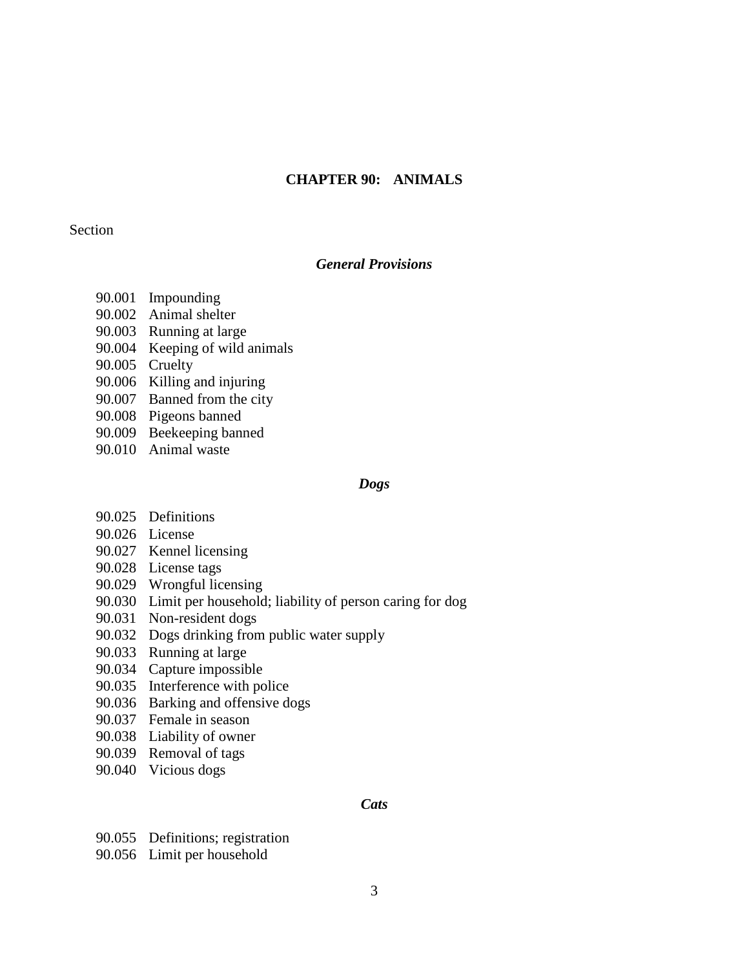# **CHAPTER 90: ANIMALS**

## Section

# *General Provisions*

- 90.001 Impounding
- 90.002 Animal shelter
- 90.003 Running at large
- 90.004 Keeping of wild animals
- 90.005 Cruelty
- 90.006 Killing and injuring
- 90.007 Banned from the city
- 90.008 Pigeons banned
- 90.009 Beekeeping banned
- 90.010 Animal waste

#### *Dogs*

- 90.025 Definitions
- 90.026 License
- 90.027 Kennel licensing
- 90.028 License tags
- 90.029 Wrongful licensing
- 90.030 Limit per household; liability of person caring for dog
- 90.031 Non-resident dogs
- 90.032 Dogs drinking from public water supply
- 90.033 Running at large
- 90.034 Capture impossible
- 90.035 Interference with police
- 90.036 Barking and offensive dogs
- 90.037 Female in season
- 90.038 Liability of owner
- 90.039 Removal of tags
- 90.040 Vicious dogs

### *Cats*

- 90.055 Definitions; registration
- 90.056 Limit per household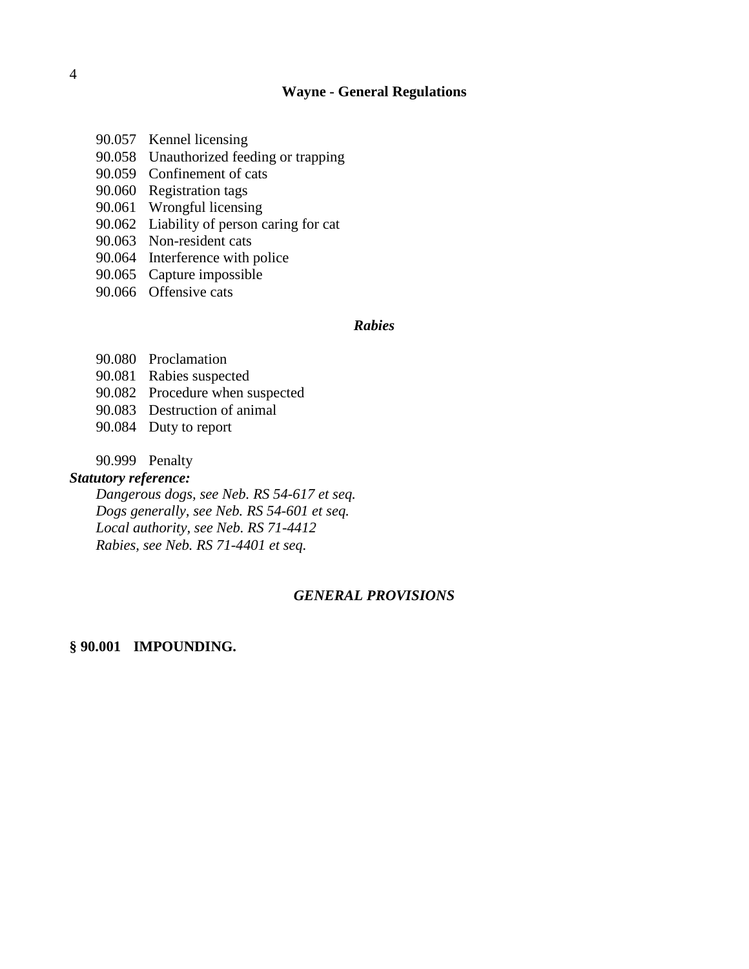- 90.057 Kennel licensing
- 90.058 Unauthorized feeding or trapping
- 90.059 Confinement of cats
- 90.060 Registration tags
- 90.061 Wrongful licensing
- 90.062 Liability of person caring for cat
- 90.063 Non-resident cats
- 90.064 Interference with police
- 90.065 Capture impossible
- 90.066 Offensive cats

# *Rabies*

- 90.080 Proclamation
- 90.081 Rabies suspected
- 90.082 Procedure when suspected
- 90.083 Destruction of animal
- 90.084 Duty to report
- 90.999 Penalty

# *Statutory reference:*

*Dangerous dogs, see Neb. RS 54-617 et seq. Dogs generally, see Neb. RS 54-601 et seq. Local authority, see Neb. RS 71-4412 Rabies, see Neb. RS 71-4401 et seq.*

# *GENERAL PROVISIONS*

## **§ 90.001 IMPOUNDING.**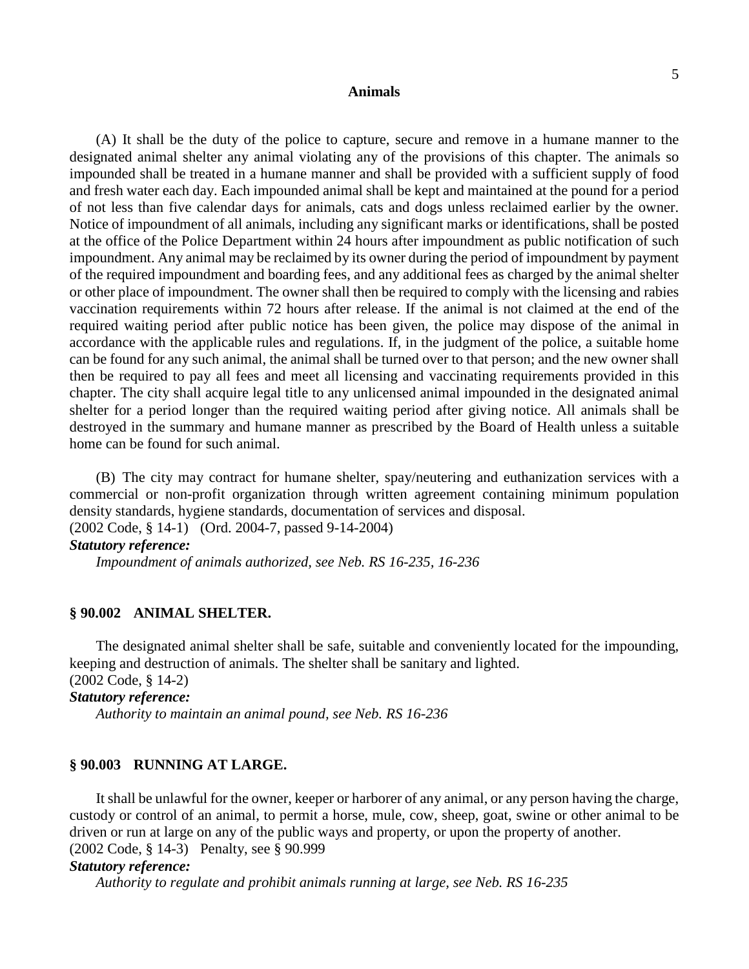(A) It shall be the duty of the police to capture, secure and remove in a humane manner to the designated animal shelter any animal violating any of the provisions of this chapter. The animals so impounded shall be treated in a humane manner and shall be provided with a sufficient supply of food and fresh water each day. Each impounded animal shall be kept and maintained at the pound for a period of not less than five calendar days for animals, cats and dogs unless reclaimed earlier by the owner. Notice of impoundment of all animals, including any significant marks or identifications, shall be posted at the office of the Police Department within 24 hours after impoundment as public notification of such impoundment. Any animal may be reclaimed by its owner during the period of impoundment by payment of the required impoundment and boarding fees, and any additional fees as charged by the animal shelter or other place of impoundment. The owner shall then be required to comply with the licensing and rabies vaccination requirements within 72 hours after release. If the animal is not claimed at the end of the required waiting period after public notice has been given, the police may dispose of the animal in accordance with the applicable rules and regulations. If, in the judgment of the police, a suitable home can be found for any such animal, the animal shall be turned over to that person; and the new owner shall then be required to pay all fees and meet all licensing and vaccinating requirements provided in this chapter. The city shall acquire legal title to any unlicensed animal impounded in the designated animal shelter for a period longer than the required waiting period after giving notice. All animals shall be destroyed in the summary and humane manner as prescribed by the Board of Health unless a suitable home can be found for such animal.

(B) The city may contract for humane shelter, spay/neutering and euthanization services with a commercial or non-profit organization through written agreement containing minimum population density standards, hygiene standards, documentation of services and disposal.

(2002 Code, § 14-1) (Ord. 2004-7, passed 9-14-2004)

# *Statutory reference:*

*Impoundment of animals authorized, see Neb. RS 16-235, 16-236*

# **§ 90.002 ANIMAL SHELTER.**

The designated animal shelter shall be safe, suitable and conveniently located for the impounding, keeping and destruction of animals. The shelter shall be sanitary and lighted. (2002 Code, § 14-2)

#### *Statutory reference:*

*Authority to maintain an animal pound, see Neb. RS 16-236*

#### **§ 90.003 RUNNING AT LARGE.**

It shall be unlawful for the owner, keeper or harborer of any animal, or any person having the charge, custody or control of an animal, to permit a horse, mule, cow, sheep, goat, swine or other animal to be driven or run at large on any of the public ways and property, or upon the property of another. (2002 Code, § 14-3) Penalty, see § 90.999

#### *Statutory reference:*

*Authority to regulate and prohibit animals running at large, see Neb. RS 16-235*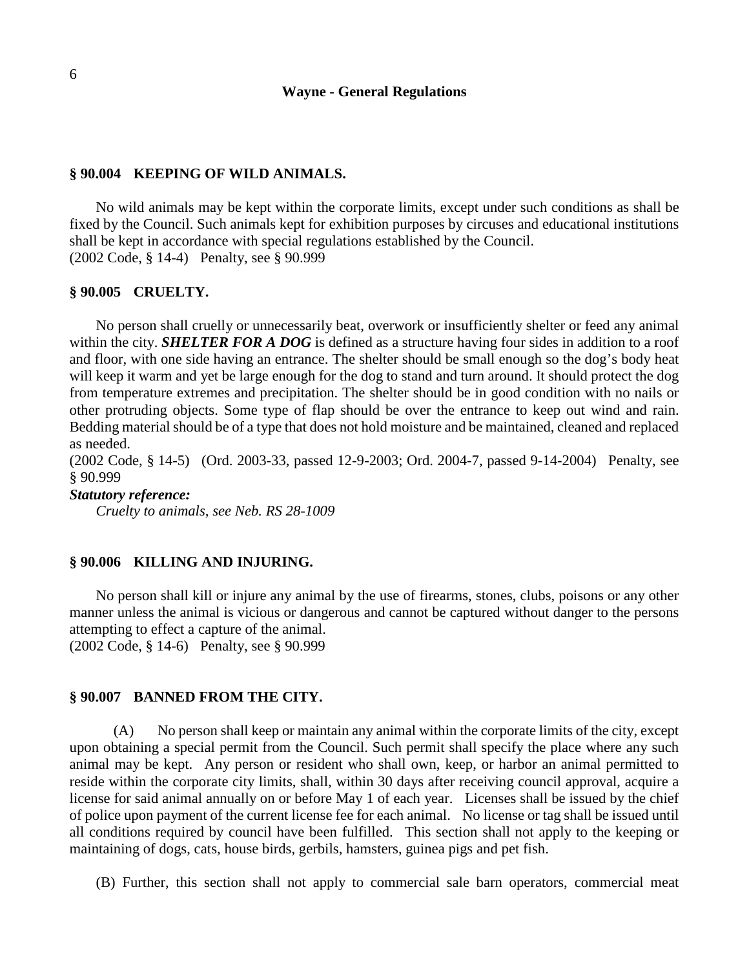### **§ 90.004 KEEPING OF WILD ANIMALS.**

No wild animals may be kept within the corporate limits, except under such conditions as shall be fixed by the Council. Such animals kept for exhibition purposes by circuses and educational institutions shall be kept in accordance with special regulations established by the Council. (2002 Code, § 14-4) Penalty, see § 90.999

#### **§ 90.005 CRUELTY.**

No person shall cruelly or unnecessarily beat, overwork or insufficiently shelter or feed any animal within the city. *SHELTER FOR A DOG* is defined as a structure having four sides in addition to a roof and floor, with one side having an entrance. The shelter should be small enough so the dog's body heat will keep it warm and yet be large enough for the dog to stand and turn around. It should protect the dog from temperature extremes and precipitation. The shelter should be in good condition with no nails or other protruding objects. Some type of flap should be over the entrance to keep out wind and rain. Bedding material should be of a type that does not hold moisture and be maintained, cleaned and replaced as needed.

(2002 Code, § 14-5) (Ord. 2003-33, passed 12-9-2003; Ord. 2004-7, passed 9-14-2004) Penalty, see § 90.999

### *Statutory reference:*

*Cruelty to animals, see Neb. RS 28-1009*

### **§ 90.006 KILLING AND INJURING.**

No person shall kill or injure any animal by the use of firearms, stones, clubs, poisons or any other manner unless the animal is vicious or dangerous and cannot be captured without danger to the persons attempting to effect a capture of the animal. (2002 Code, § 14-6) Penalty, see § 90.999

#### **§ 90.007 BANNED FROM THE CITY.**

(A) No person shall keep or maintain any animal within the corporate limits of the city, except upon obtaining a special permit from the Council. Such permit shall specify the place where any such animal may be kept. Any person or resident who shall own, keep, or harbor an animal permitted to reside within the corporate city limits, shall, within 30 days after receiving council approval, acquire a license for said animal annually on or before May 1 of each year. Licenses shall be issued by the chief of police upon payment of the current license fee for each animal. No license or tag shall be issued until all conditions required by council have been fulfilled. This section shall not apply to the keeping or maintaining of dogs, cats, house birds, gerbils, hamsters, guinea pigs and pet fish.

(B) Further, this section shall not apply to commercial sale barn operators, commercial meat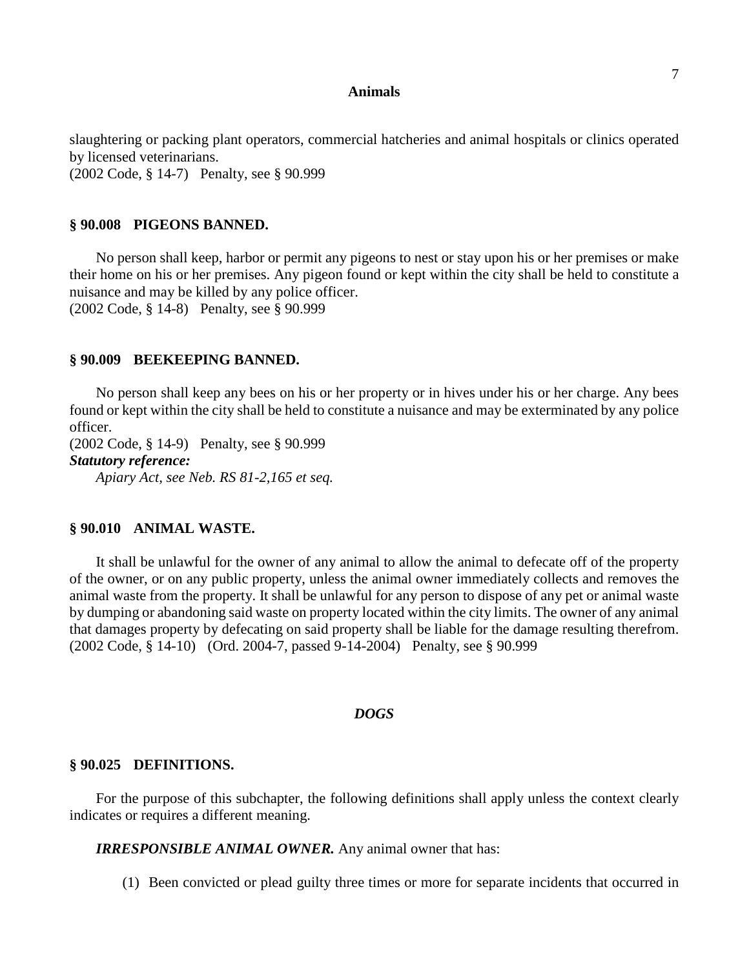slaughtering or packing plant operators, commercial hatcheries and animal hospitals or clinics operated by licensed veterinarians. (2002 Code, § 14-7) Penalty, see § 90.999

#### **§ 90.008 PIGEONS BANNED.**

No person shall keep, harbor or permit any pigeons to nest or stay upon his or her premises or make their home on his or her premises. Any pigeon found or kept within the city shall be held to constitute a nuisance and may be killed by any police officer.

(2002 Code, § 14-8) Penalty, see § 90.999

### **§ 90.009 BEEKEEPING BANNED.**

No person shall keep any bees on his or her property or in hives under his or her charge. Any bees found or kept within the city shall be held to constitute a nuisance and may be exterminated by any police officer.

(2002 Code, § 14-9) Penalty, see § 90.999 *Statutory reference:*

*Apiary Act, see Neb. RS 81-2,165 et seq.*

## **§ 90.010 ANIMAL WASTE.**

It shall be unlawful for the owner of any animal to allow the animal to defecate off of the property of the owner, or on any public property, unless the animal owner immediately collects and removes the animal waste from the property. It shall be unlawful for any person to dispose of any pet or animal waste by dumping or abandoning said waste on property located within the city limits. The owner of any animal that damages property by defecating on said property shall be liable for the damage resulting therefrom. (2002 Code, § 14-10) (Ord. 2004-7, passed 9-14-2004) Penalty, see § 90.999

#### *DOGS*

#### **§ 90.025 DEFINITIONS.**

For the purpose of this subchapter, the following definitions shall apply unless the context clearly indicates or requires a different meaning.

*IRRESPONSIBLE ANIMAL OWNER.* Any animal owner that has:

(1) Been convicted or plead guilty three times or more for separate incidents that occurred in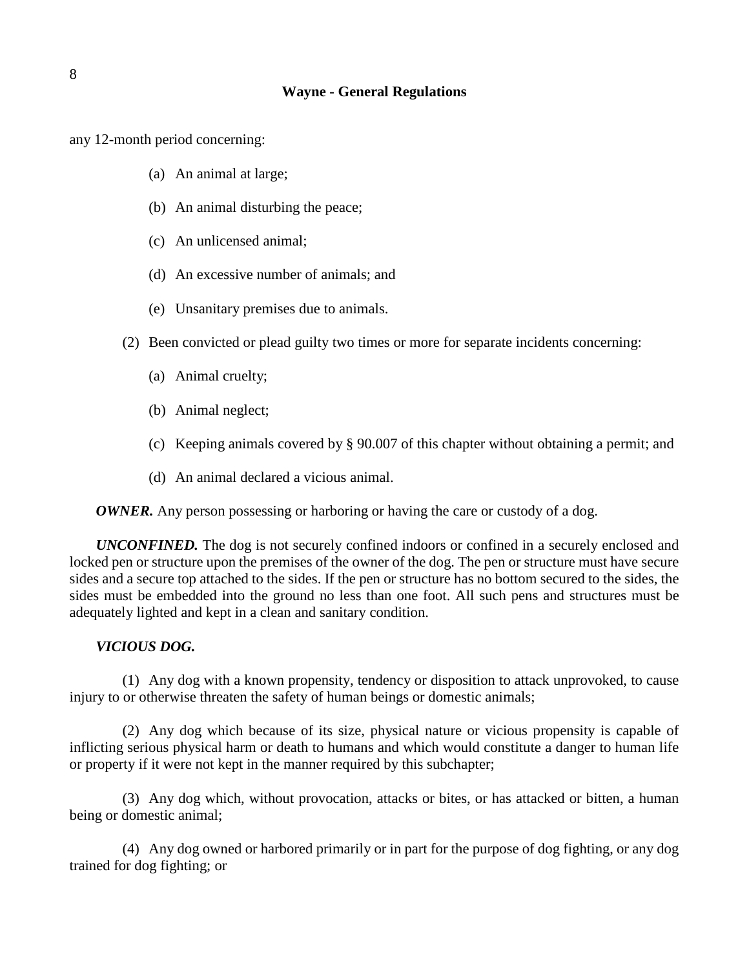any 12-month period concerning:

- (a) An animal at large;
- (b) An animal disturbing the peace;
- (c) An unlicensed animal;
- (d) An excessive number of animals; and
- (e) Unsanitary premises due to animals.
- (2) Been convicted or plead guilty two times or more for separate incidents concerning:
	- (a) Animal cruelty;
	- (b) Animal neglect;
	- (c) Keeping animals covered by § 90.007 of this chapter without obtaining a permit; and
	- (d) An animal declared a vicious animal.

*OWNER*. Any person possessing or harboring or having the care or custody of a dog.

*UNCONFINED.* The dog is not securely confined indoors or confined in a securely enclosed and locked pen or structure upon the premises of the owner of the dog. The pen or structure must have secure sides and a secure top attached to the sides. If the pen or structure has no bottom secured to the sides, the sides must be embedded into the ground no less than one foot. All such pens and structures must be adequately lighted and kept in a clean and sanitary condition.

# *VICIOUS DOG.*

(1) Any dog with a known propensity, tendency or disposition to attack unprovoked, to cause injury to or otherwise threaten the safety of human beings or domestic animals;

(2) Any dog which because of its size, physical nature or vicious propensity is capable of inflicting serious physical harm or death to humans and which would constitute a danger to human life or property if it were not kept in the manner required by this subchapter;

(3) Any dog which, without provocation, attacks or bites, or has attacked or bitten, a human being or domestic animal;

(4) Any dog owned or harbored primarily or in part for the purpose of dog fighting, or any dog trained for dog fighting; or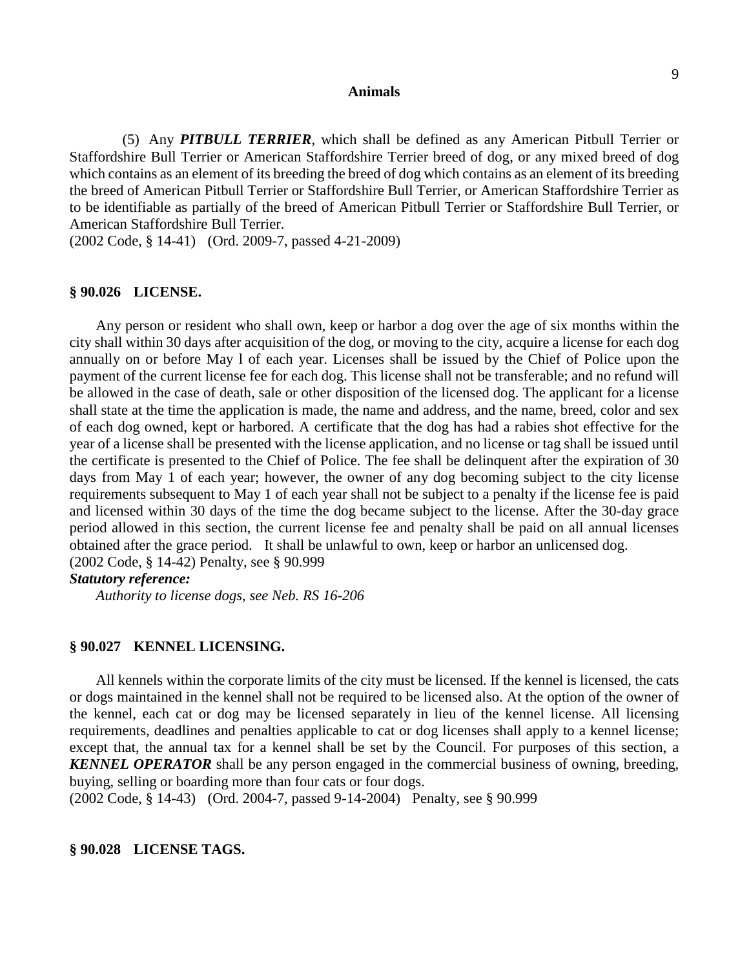(5) Any *PITBULL TERRIER*, which shall be defined as any American Pitbull Terrier or Staffordshire Bull Terrier or American Staffordshire Terrier breed of dog, or any mixed breed of dog which contains as an element of its breeding the breed of dog which contains as an element of its breeding the breed of American Pitbull Terrier or Staffordshire Bull Terrier, or American Staffordshire Terrier as to be identifiable as partially of the breed of American Pitbull Terrier or Staffordshire Bull Terrier, or American Staffordshire Bull Terrier.

(2002 Code, § 14-41) (Ord. 2009-7, passed 4-21-2009)

### **§ 90.026 LICENSE.**

Any person or resident who shall own, keep or harbor a dog over the age of six months within the city shall within 30 days after acquisition of the dog, or moving to the city, acquire a license for each dog annually on or before May l of each year. Licenses shall be issued by the Chief of Police upon the payment of the current license fee for each dog. This license shall not be transferable; and no refund will be allowed in the case of death, sale or other disposition of the licensed dog. The applicant for a license shall state at the time the application is made, the name and address, and the name, breed, color and sex of each dog owned, kept or harbored. A certificate that the dog has had a rabies shot effective for the year of a license shall be presented with the license application, and no license or tag shall be issued until the certificate is presented to the Chief of Police. The fee shall be delinquent after the expiration of 30 days from May 1 of each year; however, the owner of any dog becoming subject to the city license requirements subsequent to May 1 of each year shall not be subject to a penalty if the license fee is paid and licensed within 30 days of the time the dog became subject to the license. After the 30-day grace period allowed in this section, the current license fee and penalty shall be paid on all annual licenses obtained after the grace period. It shall be unlawful to own, keep or harbor an unlicensed dog. (2002 Code, § 14-42) Penalty, see § 90.999

## *Statutory reference:*

*Authority to license dogs, see Neb. RS 16-206*

### **§ 90.027 KENNEL LICENSING.**

All kennels within the corporate limits of the city must be licensed. If the kennel is licensed, the cats or dogs maintained in the kennel shall not be required to be licensed also. At the option of the owner of the kennel, each cat or dog may be licensed separately in lieu of the kennel license. All licensing requirements, deadlines and penalties applicable to cat or dog licenses shall apply to a kennel license; except that, the annual tax for a kennel shall be set by the Council. For purposes of this section, a *KENNEL OPERATOR* shall be any person engaged in the commercial business of owning, breeding, buying, selling or boarding more than four cats or four dogs.

(2002 Code, § 14-43) (Ord. 2004-7, passed 9-14-2004) Penalty, see § 90.999

#### **§ 90.028 LICENSE TAGS.**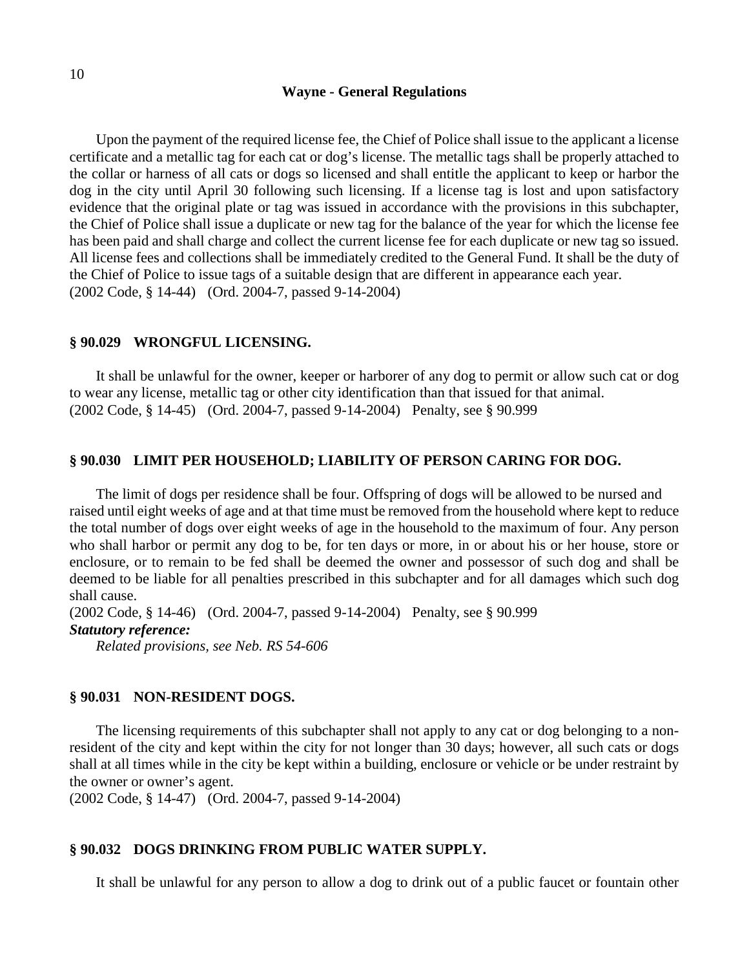Upon the payment of the required license fee, the Chief of Police shall issue to the applicant a license certificate and a metallic tag for each cat or dog's license. The metallic tags shall be properly attached to the collar or harness of all cats or dogs so licensed and shall entitle the applicant to keep or harbor the dog in the city until April 30 following such licensing. If a license tag is lost and upon satisfactory evidence that the original plate or tag was issued in accordance with the provisions in this subchapter, the Chief of Police shall issue a duplicate or new tag for the balance of the year for which the license fee has been paid and shall charge and collect the current license fee for each duplicate or new tag so issued. All license fees and collections shall be immediately credited to the General Fund. It shall be the duty of the Chief of Police to issue tags of a suitable design that are different in appearance each year. (2002 Code, § 14-44) (Ord. 2004-7, passed 9-14-2004)

### **§ 90.029 WRONGFUL LICENSING.**

It shall be unlawful for the owner, keeper or harborer of any dog to permit or allow such cat or dog to wear any license, metallic tag or other city identification than that issued for that animal. (2002 Code, § 14-45) (Ord. 2004-7, passed 9-14-2004) Penalty, see § 90.999

### **§ 90.030 LIMIT PER HOUSEHOLD; LIABILITY OF PERSON CARING FOR DOG.**

The limit of dogs per residence shall be four. Offspring of dogs will be allowed to be nursed and raised until eight weeks of age and at that time must be removed from the household where kept to reduce the total number of dogs over eight weeks of age in the household to the maximum of four. Any person who shall harbor or permit any dog to be, for ten days or more, in or about his or her house, store or enclosure, or to remain to be fed shall be deemed the owner and possessor of such dog and shall be deemed to be liable for all penalties prescribed in this subchapter and for all damages which such dog shall cause.

(2002 Code, § 14-46) (Ord. 2004-7, passed 9-14-2004) Penalty, see § 90.999 *Statutory reference:*

*Related provisions, see Neb. RS 54-606*

#### **§ 90.031 NON-RESIDENT DOGS.**

The licensing requirements of this subchapter shall not apply to any cat or dog belonging to a nonresident of the city and kept within the city for not longer than 30 days; however, all such cats or dogs shall at all times while in the city be kept within a building, enclosure or vehicle or be under restraint by the owner or owner's agent.

(2002 Code, § 14-47) (Ord. 2004-7, passed 9-14-2004)

### **§ 90.032 DOGS DRINKING FROM PUBLIC WATER SUPPLY.**

It shall be unlawful for any person to allow a dog to drink out of a public faucet or fountain other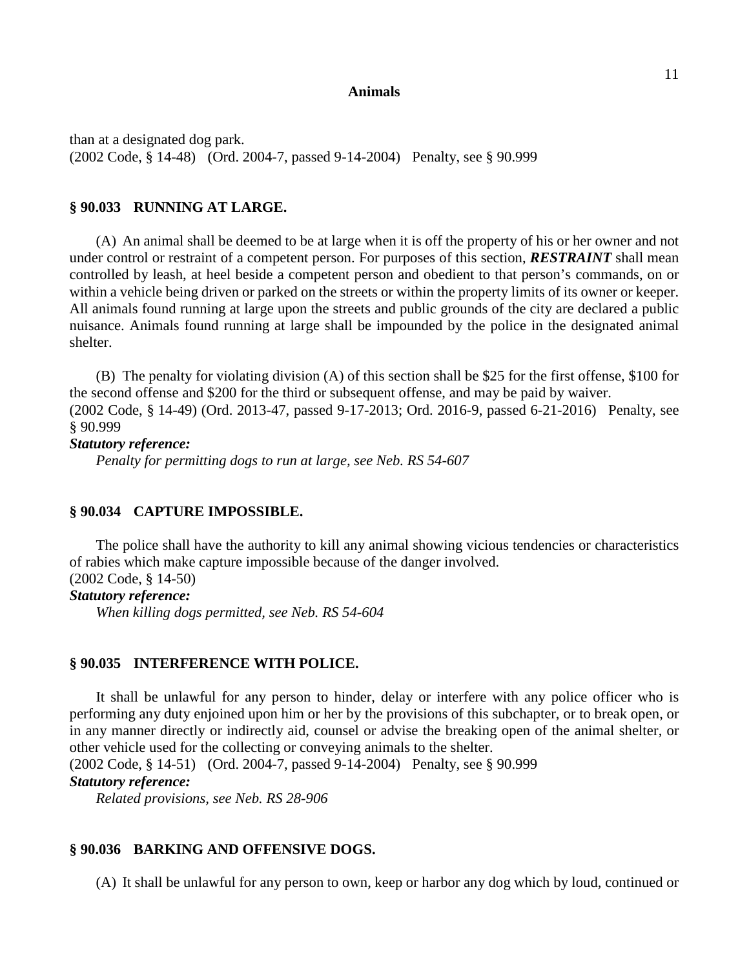than at a designated dog park. (2002 Code, § 14-48) (Ord. 2004-7, passed 9-14-2004) Penalty, see § 90.999

## **§ 90.033 RUNNING AT LARGE.**

(A) An animal shall be deemed to be at large when it is off the property of his or her owner and not under control or restraint of a competent person. For purposes of this section, *RESTRAINT* shall mean controlled by leash, at heel beside a competent person and obedient to that person's commands, on or within a vehicle being driven or parked on the streets or within the property limits of its owner or keeper. All animals found running at large upon the streets and public grounds of the city are declared a public nuisance. Animals found running at large shall be impounded by the police in the designated animal shelter.

(B) The penalty for violating division (A) of this section shall be \$25 for the first offense, \$100 for the second offense and \$200 for the third or subsequent offense, and may be paid by waiver. (2002 Code, § 14-49) (Ord. 2013-47, passed 9-17-2013; Ord. 2016-9, passed 6-21-2016) Penalty, see § 90.999

### *Statutory reference:*

*Penalty for permitting dogs to run at large, see Neb. RS 54-607*

#### **§ 90.034 CAPTURE IMPOSSIBLE.**

The police shall have the authority to kill any animal showing vicious tendencies or characteristics of rabies which make capture impossible because of the danger involved. (2002 Code, § 14-50)

#### *Statutory reference:*

*When killing dogs permitted, see Neb. RS 54-604*

### **§ 90.035 INTERFERENCE WITH POLICE.**

It shall be unlawful for any person to hinder, delay or interfere with any police officer who is performing any duty enjoined upon him or her by the provisions of this subchapter, or to break open, or in any manner directly or indirectly aid, counsel or advise the breaking open of the animal shelter, or other vehicle used for the collecting or conveying animals to the shelter.

(2002 Code, § 14-51) (Ord. 2004-7, passed 9-14-2004) Penalty, see § 90.999

# *Statutory reference:*

*Related provisions, see Neb. RS 28-906*

### **§ 90.036 BARKING AND OFFENSIVE DOGS.**

(A) It shall be unlawful for any person to own, keep or harbor any dog which by loud, continued or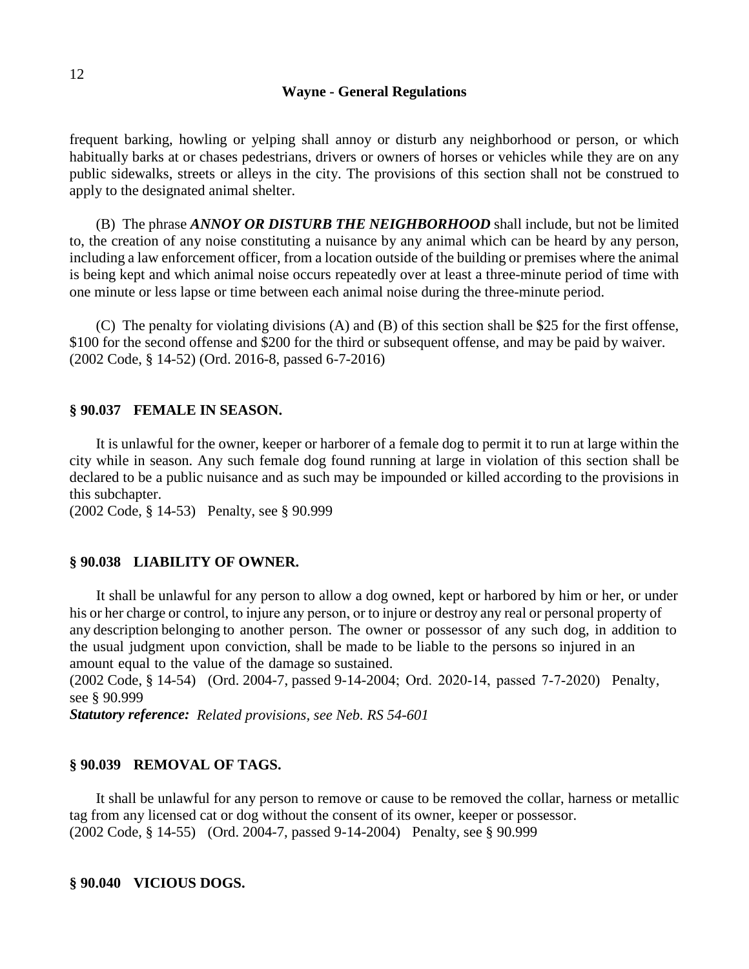frequent barking, howling or yelping shall annoy or disturb any neighborhood or person, or which habitually barks at or chases pedestrians, drivers or owners of horses or vehicles while they are on any public sidewalks, streets or alleys in the city. The provisions of this section shall not be construed to apply to the designated animal shelter.

(B) The phrase *ANNOY OR DISTURB THE NEIGHBORHOOD* shall include, but not be limited to, the creation of any noise constituting a nuisance by any animal which can be heard by any person, including a law enforcement officer, from a location outside of the building or premises where the animal is being kept and which animal noise occurs repeatedly over at least a three-minute period of time with one minute or less lapse or time between each animal noise during the three-minute period.

(C) The penalty for violating divisions (A) and (B) of this section shall be \$25 for the first offense, \$100 for the second offense and \$200 for the third or subsequent offense, and may be paid by waiver. (2002 Code, § 14-52) (Ord. 2016-8, passed 6-7-2016)

### **§ 90.037 FEMALE IN SEASON.**

It is unlawful for the owner, keeper or harborer of a female dog to permit it to run at large within the city while in season. Any such female dog found running at large in violation of this section shall be declared to be a public nuisance and as such may be impounded or killed according to the provisions in this subchapter.

(2002 Code, § 14-53) Penalty, see § 90.999

### **§ 90.038 LIABILITY OF OWNER.**

It shall be unlawful for any person to allow a dog owned, kept or harbored by him or her, or under his or her charge or control, to injure any person, or to injure or destroy any real or personal property of any description belonging to another person. The owner or possessor of any such dog, in addition to the usual judgment upon conviction, shall be made to be liable to the persons so injured in an amount equal to the value of the damage so sustained.

(2002 Code, § 14-54) (Ord. 2004-7, passed 9-14-2004; Ord. 2020-14, passed 7-7-2020) Penalty, see § 90.999

*Statutory reference: Related provisions, see Neb. RS 54-601*

#### **§ 90.039 REMOVAL OF TAGS.**

It shall be unlawful for any person to remove or cause to be removed the collar, harness or metallic tag from any licensed cat or dog without the consent of its owner, keeper or possessor. (2002 Code, § 14-55) (Ord. 2004-7, passed 9-14-2004) Penalty, see § 90.999

### **§ 90.040 VICIOUS DOGS.**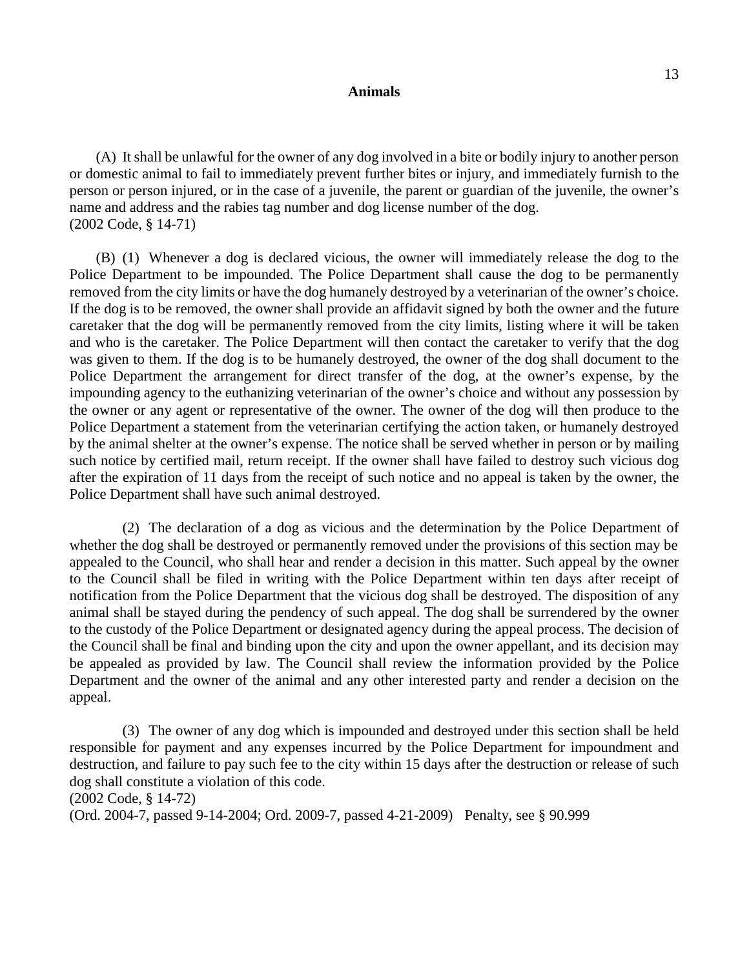(A) It shall be unlawful for the owner of any dog involved in a bite or bodily injury to another person or domestic animal to fail to immediately prevent further bites or injury, and immediately furnish to the person or person injured, or in the case of a juvenile, the parent or guardian of the juvenile, the owner's name and address and the rabies tag number and dog license number of the dog. (2002 Code, § 14-71)

(B) (1) Whenever a dog is declared vicious, the owner will immediately release the dog to the Police Department to be impounded. The Police Department shall cause the dog to be permanently removed from the city limits or have the dog humanely destroyed by a veterinarian of the owner's choice. If the dog is to be removed, the owner shall provide an affidavit signed by both the owner and the future caretaker that the dog will be permanently removed from the city limits, listing where it will be taken and who is the caretaker. The Police Department will then contact the caretaker to verify that the dog was given to them. If the dog is to be humanely destroyed, the owner of the dog shall document to the Police Department the arrangement for direct transfer of the dog, at the owner's expense, by the impounding agency to the euthanizing veterinarian of the owner's choice and without any possession by the owner or any agent or representative of the owner. The owner of the dog will then produce to the Police Department a statement from the veterinarian certifying the action taken, or humanely destroyed by the animal shelter at the owner's expense. The notice shall be served whether in person or by mailing such notice by certified mail, return receipt. If the owner shall have failed to destroy such vicious dog after the expiration of 11 days from the receipt of such notice and no appeal is taken by the owner, the Police Department shall have such animal destroyed.

(2) The declaration of a dog as vicious and the determination by the Police Department of whether the dog shall be destroyed or permanently removed under the provisions of this section may be appealed to the Council, who shall hear and render a decision in this matter. Such appeal by the owner to the Council shall be filed in writing with the Police Department within ten days after receipt of notification from the Police Department that the vicious dog shall be destroyed. The disposition of any animal shall be stayed during the pendency of such appeal. The dog shall be surrendered by the owner to the custody of the Police Department or designated agency during the appeal process. The decision of the Council shall be final and binding upon the city and upon the owner appellant, and its decision may be appealed as provided by law. The Council shall review the information provided by the Police Department and the owner of the animal and any other interested party and render a decision on the appeal.

(3) The owner of any dog which is impounded and destroyed under this section shall be held responsible for payment and any expenses incurred by the Police Department for impoundment and destruction, and failure to pay such fee to the city within 15 days after the destruction or release of such dog shall constitute a violation of this code.

(Ord. 2004-7, passed 9-14-2004; Ord. 2009-7, passed 4-21-2009) Penalty, see § 90.999

<sup>(2002</sup> Code, § 14-72)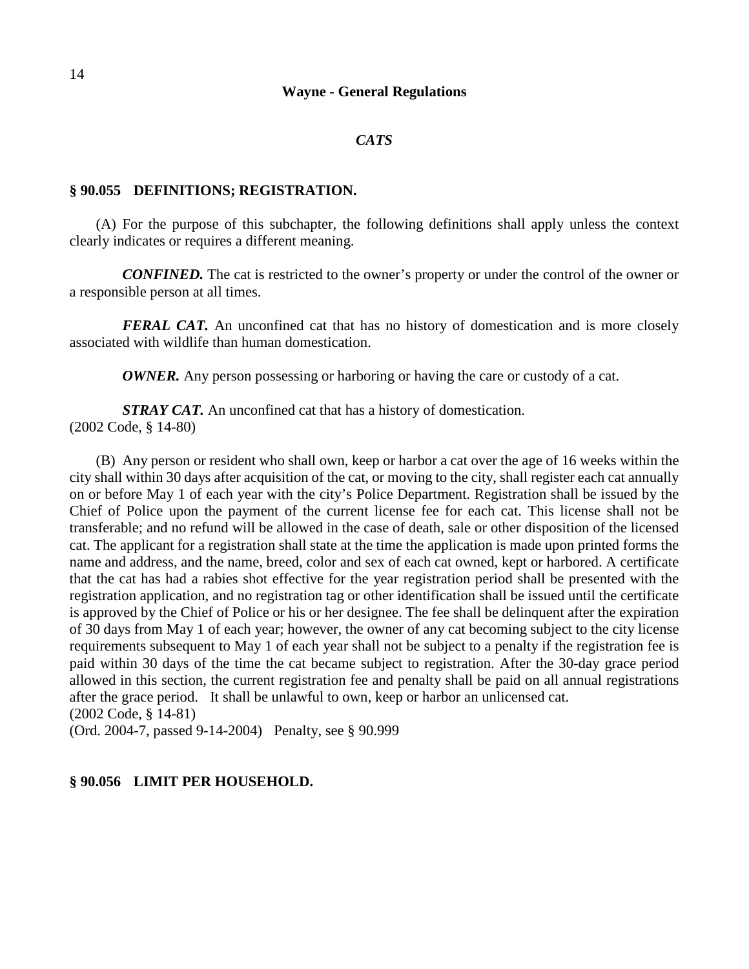### *CATS*

#### **§ 90.055 DEFINITIONS; REGISTRATION.**

(A) For the purpose of this subchapter, the following definitions shall apply unless the context clearly indicates or requires a different meaning.

*CONFINED.* The cat is restricted to the owner's property or under the control of the owner or a responsible person at all times.

*FERAL CAT.* An unconfined cat that has no history of domestication and is more closely associated with wildlife than human domestication.

*OWNER*. Any person possessing or harboring or having the care or custody of a cat.

*STRAY CAT.* An unconfined cat that has a history of domestication. (2002 Code, § 14-80)

(B) Any person or resident who shall own, keep or harbor a cat over the age of 16 weeks within the city shall within 30 days after acquisition of the cat, or moving to the city, shall register each cat annually on or before May 1 of each year with the city's Police Department. Registration shall be issued by the Chief of Police upon the payment of the current license fee for each cat. This license shall not be transferable; and no refund will be allowed in the case of death, sale or other disposition of the licensed cat. The applicant for a registration shall state at the time the application is made upon printed forms the name and address, and the name, breed, color and sex of each cat owned, kept or harbored. A certificate that the cat has had a rabies shot effective for the year registration period shall be presented with the registration application, and no registration tag or other identification shall be issued until the certificate is approved by the Chief of Police or his or her designee. The fee shall be delinquent after the expiration of 30 days from May 1 of each year; however, the owner of any cat becoming subject to the city license requirements subsequent to May 1 of each year shall not be subject to a penalty if the registration fee is paid within 30 days of the time the cat became subject to registration. After the 30-day grace period allowed in this section, the current registration fee and penalty shall be paid on all annual registrations after the grace period. It shall be unlawful to own, keep or harbor an unlicensed cat. (2002 Code, § 14-81)

(Ord. 2004-7, passed 9-14-2004) Penalty, see § 90.999

## **§ 90.056 LIMIT PER HOUSEHOLD.**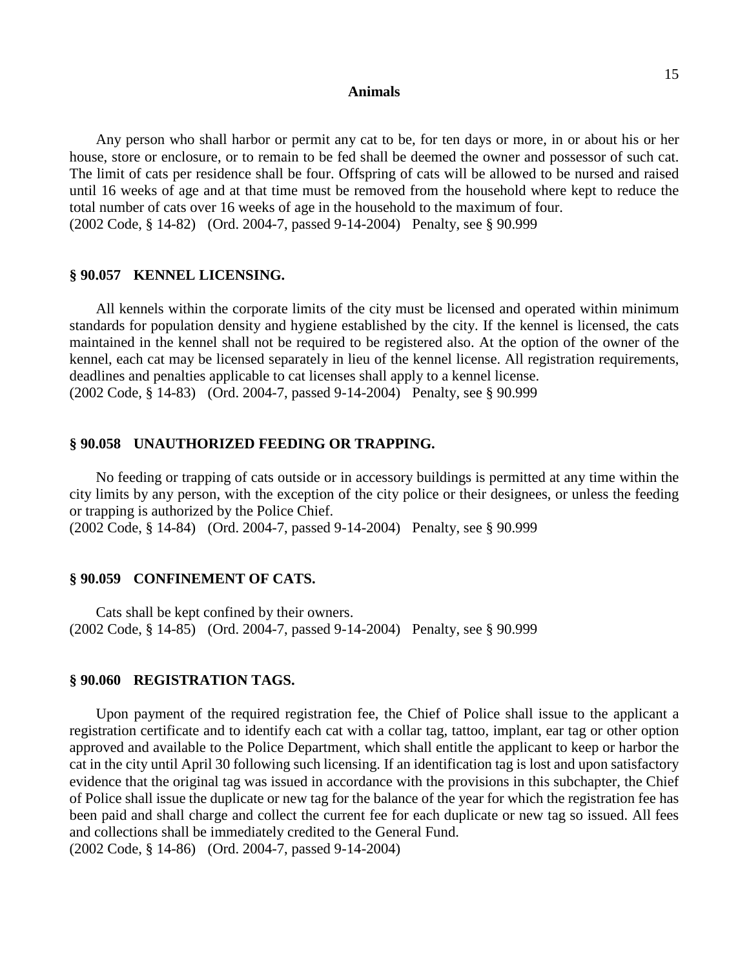Any person who shall harbor or permit any cat to be, for ten days or more, in or about his or her house, store or enclosure, or to remain to be fed shall be deemed the owner and possessor of such cat. The limit of cats per residence shall be four. Offspring of cats will be allowed to be nursed and raised until 16 weeks of age and at that time must be removed from the household where kept to reduce the total number of cats over 16 weeks of age in the household to the maximum of four. (2002 Code, § 14-82) (Ord. 2004-7, passed 9-14-2004) Penalty, see § 90.999

#### **§ 90.057 KENNEL LICENSING.**

All kennels within the corporate limits of the city must be licensed and operated within minimum standards for population density and hygiene established by the city. If the kennel is licensed, the cats maintained in the kennel shall not be required to be registered also. At the option of the owner of the kennel, each cat may be licensed separately in lieu of the kennel license. All registration requirements, deadlines and penalties applicable to cat licenses shall apply to a kennel license. (2002 Code, § 14-83) (Ord. 2004-7, passed 9-14-2004) Penalty, see § 90.999

# **§ 90.058 UNAUTHORIZED FEEDING OR TRAPPING.**

No feeding or trapping of cats outside or in accessory buildings is permitted at any time within the city limits by any person, with the exception of the city police or their designees, or unless the feeding or trapping is authorized by the Police Chief.

(2002 Code, § 14-84) (Ord. 2004-7, passed 9-14-2004) Penalty, see § 90.999

#### **§ 90.059 CONFINEMENT OF CATS.**

Cats shall be kept confined by their owners. (2002 Code, § 14-85) (Ord. 2004-7, passed 9-14-2004) Penalty, see § 90.999

## **§ 90.060 REGISTRATION TAGS.**

Upon payment of the required registration fee, the Chief of Police shall issue to the applicant a registration certificate and to identify each cat with a collar tag, tattoo, implant, ear tag or other option approved and available to the Police Department, which shall entitle the applicant to keep or harbor the cat in the city until April 30 following such licensing. If an identification tag is lost and upon satisfactory evidence that the original tag was issued in accordance with the provisions in this subchapter, the Chief of Police shall issue the duplicate or new tag for the balance of the year for which the registration fee has been paid and shall charge and collect the current fee for each duplicate or new tag so issued. All fees and collections shall be immediately credited to the General Fund.

(2002 Code, § 14-86) (Ord. 2004-7, passed 9-14-2004)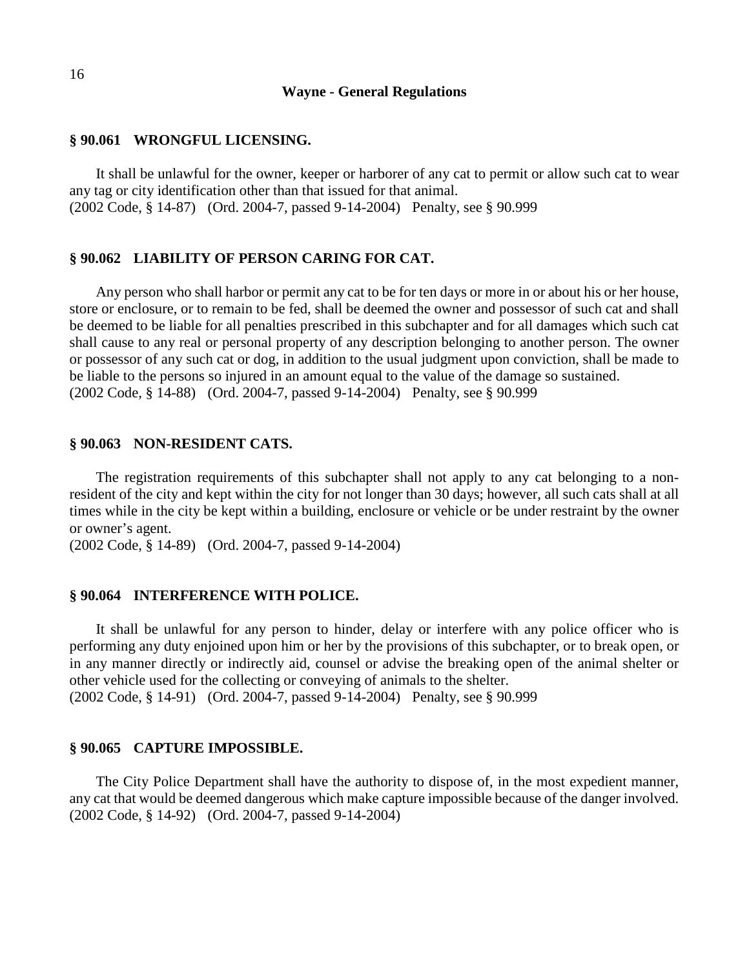### **§ 90.061 WRONGFUL LICENSING.**

It shall be unlawful for the owner, keeper or harborer of any cat to permit or allow such cat to wear any tag or city identification other than that issued for that animal. (2002 Code, § 14-87) (Ord. 2004-7, passed 9-14-2004) Penalty, see § 90.999

### **§ 90.062 LIABILITY OF PERSON CARING FOR CAT.**

Any person who shall harbor or permit any cat to be for ten days or more in or about his or her house, store or enclosure, or to remain to be fed, shall be deemed the owner and possessor of such cat and shall be deemed to be liable for all penalties prescribed in this subchapter and for all damages which such cat shall cause to any real or personal property of any description belonging to another person. The owner or possessor of any such cat or dog, in addition to the usual judgment upon conviction, shall be made to be liable to the persons so injured in an amount equal to the value of the damage so sustained. (2002 Code, § 14-88) (Ord. 2004-7, passed 9-14-2004) Penalty, see § 90.999

# **§ 90.063 NON-RESIDENT CATS.**

The registration requirements of this subchapter shall not apply to any cat belonging to a nonresident of the city and kept within the city for not longer than 30 days; however, all such cats shall at all times while in the city be kept within a building, enclosure or vehicle or be under restraint by the owner or owner's agent.

(2002 Code, § 14-89) (Ord. 2004-7, passed 9-14-2004)

#### **§ 90.064 INTERFERENCE WITH POLICE.**

It shall be unlawful for any person to hinder, delay or interfere with any police officer who is performing any duty enjoined upon him or her by the provisions of this subchapter, or to break open, or in any manner directly or indirectly aid, counsel or advise the breaking open of the animal shelter or other vehicle used for the collecting or conveying of animals to the shelter.

(2002 Code, § 14-91) (Ord. 2004-7, passed 9-14-2004) Penalty, see § 90.999

## **§ 90.065 CAPTURE IMPOSSIBLE.**

The City Police Department shall have the authority to dispose of, in the most expedient manner, any cat that would be deemed dangerous which make capture impossible because of the danger involved. (2002 Code, § 14-92) (Ord. 2004-7, passed 9-14-2004)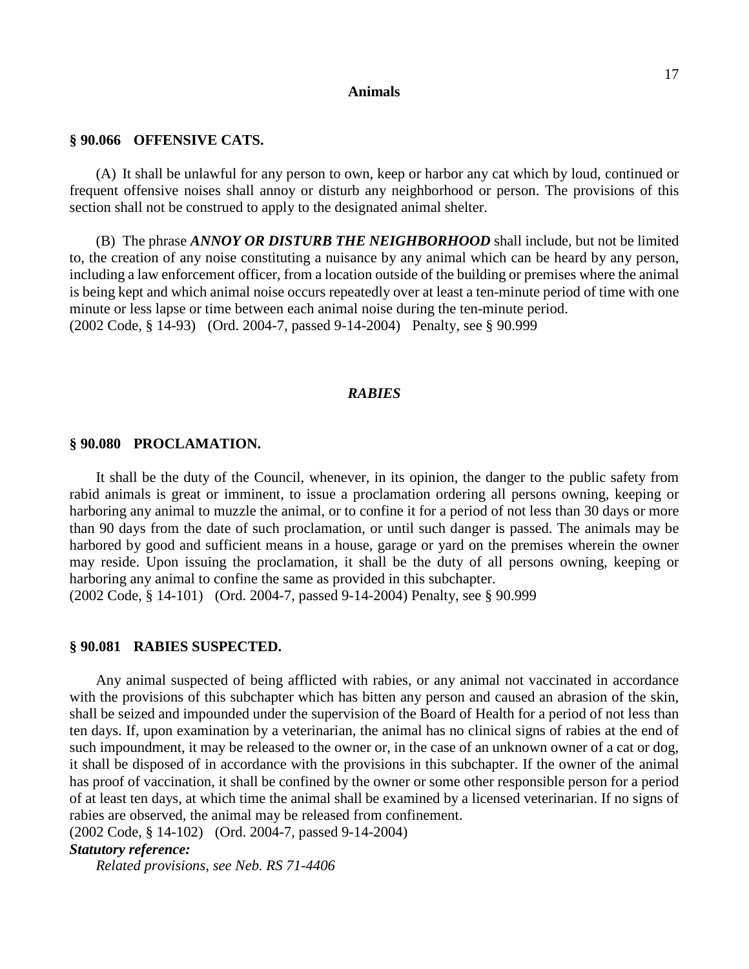#### **§ 90.066 OFFENSIVE CATS.**

(A) It shall be unlawful for any person to own, keep or harbor any cat which by loud, continued or frequent offensive noises shall annoy or disturb any neighborhood or person. The provisions of this section shall not be construed to apply to the designated animal shelter.

(B) The phrase *ANNOY OR DISTURB THE NEIGHBORHOOD* shall include, but not be limited to, the creation of any noise constituting a nuisance by any animal which can be heard by any person, including a law enforcement officer, from a location outside of the building or premises where the animal is being kept and which animal noise occurs repeatedly over at least a ten-minute period of time with one minute or less lapse or time between each animal noise during the ten-minute period. (2002 Code, § 14-93) (Ord. 2004-7, passed 9-14-2004) Penalty, see § 90.999

## *RABIES*

### **§ 90.080 PROCLAMATION.**

It shall be the duty of the Council, whenever, in its opinion, the danger to the public safety from rabid animals is great or imminent, to issue a proclamation ordering all persons owning, keeping or harboring any animal to muzzle the animal, or to confine it for a period of not less than 30 days or more than 90 days from the date of such proclamation, or until such danger is passed. The animals may be harbored by good and sufficient means in a house, garage or yard on the premises wherein the owner may reside. Upon issuing the proclamation, it shall be the duty of all persons owning, keeping or harboring any animal to confine the same as provided in this subchapter.

(2002 Code, § 14-101) (Ord. 2004-7, passed 9-14-2004) Penalty, see § 90.999

### **§ 90.081 RABIES SUSPECTED.**

Any animal suspected of being afflicted with rabies, or any animal not vaccinated in accordance with the provisions of this subchapter which has bitten any person and caused an abrasion of the skin, shall be seized and impounded under the supervision of the Board of Health for a period of not less than ten days. If, upon examination by a veterinarian, the animal has no clinical signs of rabies at the end of such impoundment, it may be released to the owner or, in the case of an unknown owner of a cat or dog, it shall be disposed of in accordance with the provisions in this subchapter. If the owner of the animal has proof of vaccination, it shall be confined by the owner or some other responsible person for a period of at least ten days, at which time the animal shall be examined by a licensed veterinarian. If no signs of rabies are observed, the animal may be released from confinement.

(2002 Code, § 14-102) (Ord. 2004-7, passed 9-14-2004)

# *Statutory reference:*

*Related provisions, see Neb. RS 71-4406*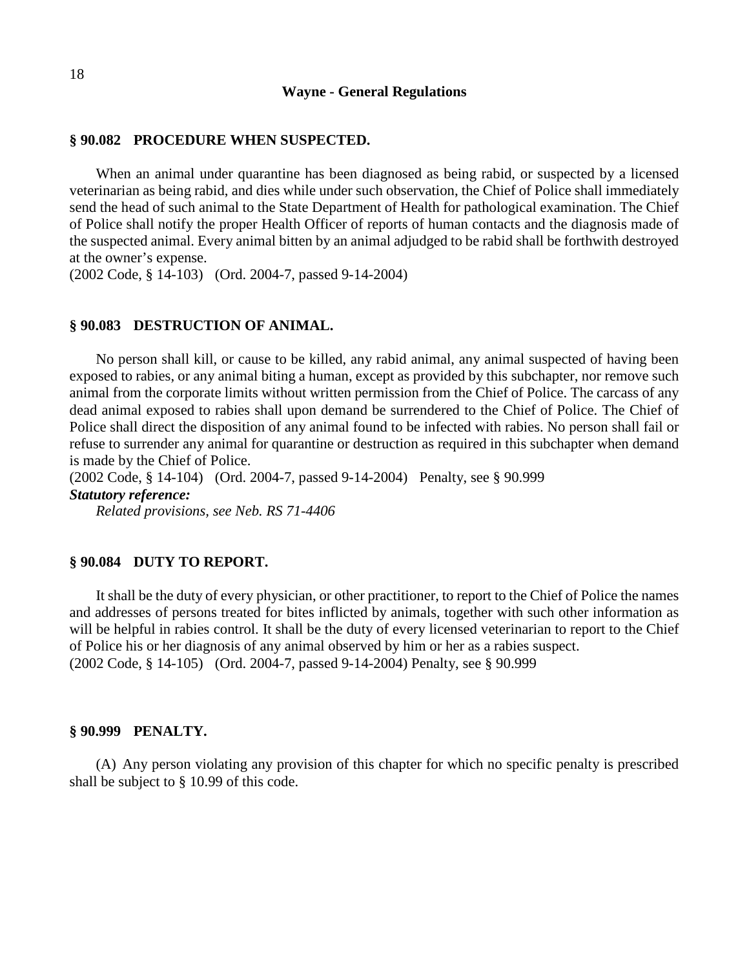### **§ 90.082 PROCEDURE WHEN SUSPECTED.**

When an animal under quarantine has been diagnosed as being rabid, or suspected by a licensed veterinarian as being rabid, and dies while under such observation, the Chief of Police shall immediately send the head of such animal to the State Department of Health for pathological examination. The Chief of Police shall notify the proper Health Officer of reports of human contacts and the diagnosis made of the suspected animal. Every animal bitten by an animal adjudged to be rabid shall be forthwith destroyed at the owner's expense.

(2002 Code, § 14-103) (Ord. 2004-7, passed 9-14-2004)

### **§ 90.083 DESTRUCTION OF ANIMAL.**

No person shall kill, or cause to be killed, any rabid animal, any animal suspected of having been exposed to rabies, or any animal biting a human, except as provided by this subchapter, nor remove such animal from the corporate limits without written permission from the Chief of Police. The carcass of any dead animal exposed to rabies shall upon demand be surrendered to the Chief of Police. The Chief of Police shall direct the disposition of any animal found to be infected with rabies. No person shall fail or refuse to surrender any animal for quarantine or destruction as required in this subchapter when demand is made by the Chief of Police.

(2002 Code, § 14-104) (Ord. 2004-7, passed 9-14-2004) Penalty, see § 90.999 *Statutory reference:*

*Related provisions, see Neb. RS 71-4406*

### **§ 90.084 DUTY TO REPORT.**

It shall be the duty of every physician, or other practitioner, to report to the Chief of Police the names and addresses of persons treated for bites inflicted by animals, together with such other information as will be helpful in rabies control. It shall be the duty of every licensed veterinarian to report to the Chief of Police his or her diagnosis of any animal observed by him or her as a rabies suspect. (2002 Code, § 14-105) (Ord. 2004-7, passed 9-14-2004) Penalty, see § 90.999

### **§ 90.999 PENALTY.**

(A) Any person violating any provision of this chapter for which no specific penalty is prescribed shall be subject to § 10.99 of this code.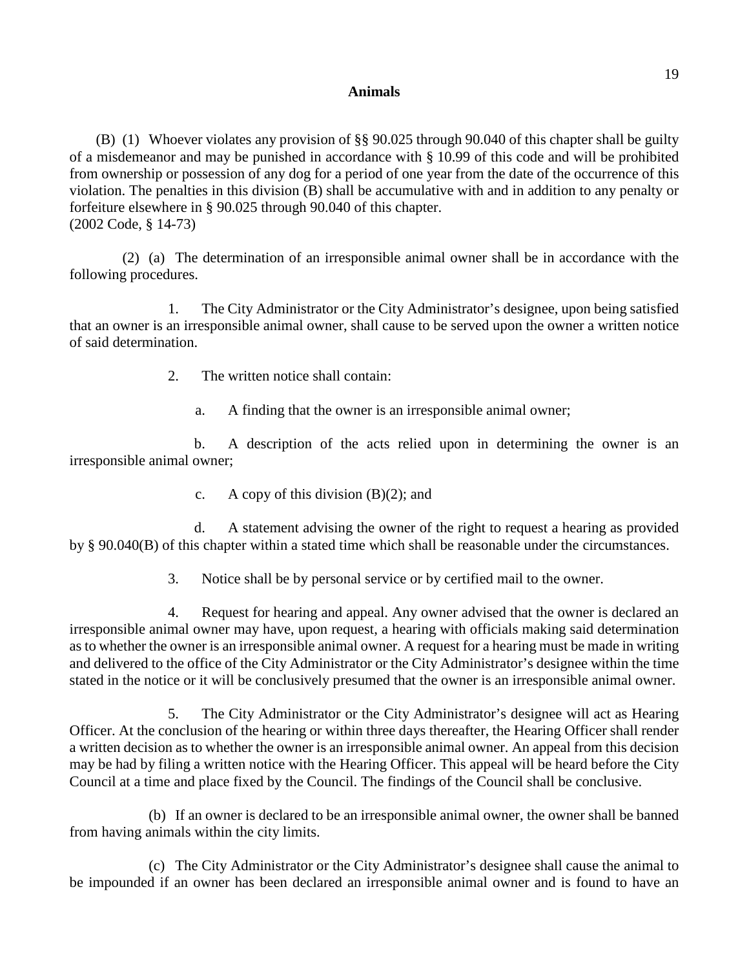(B) (1) Whoever violates any provision of §§ 90.025 through 90.040 of this chapter shall be guilty of a misdemeanor and may be punished in accordance with § 10.99 of this code and will be prohibited from ownership or possession of any dog for a period of one year from the date of the occurrence of this violation. The penalties in this division (B) shall be accumulative with and in addition to any penalty or forfeiture elsewhere in § 90.025 through 90.040 of this chapter. (2002 Code, § 14-73)

(2) (a) The determination of an irresponsible animal owner shall be in accordance with the following procedures.

1. The City Administrator or the City Administrator's designee, upon being satisfied that an owner is an irresponsible animal owner, shall cause to be served upon the owner a written notice of said determination.

2. The written notice shall contain:

a. A finding that the owner is an irresponsible animal owner;

b. A description of the acts relied upon in determining the owner is an irresponsible animal owner;

c. A copy of this division  $(B)(2)$ ; and

d. A statement advising the owner of the right to request a hearing as provided by § 90.040(B) of this chapter within a stated time which shall be reasonable under the circumstances.

3. Notice shall be by personal service or by certified mail to the owner.

4. Request for hearing and appeal. Any owner advised that the owner is declared an irresponsible animal owner may have, upon request, a hearing with officials making said determination as to whether the owner is an irresponsible animal owner. A request for a hearing must be made in writing and delivered to the office of the City Administrator or the City Administrator's designee within the time stated in the notice or it will be conclusively presumed that the owner is an irresponsible animal owner.

5. The City Administrator or the City Administrator's designee will act as Hearing Officer. At the conclusion of the hearing or within three days thereafter, the Hearing Officer shall render a written decision as to whether the owner is an irresponsible animal owner. An appeal from this decision may be had by filing a written notice with the Hearing Officer. This appeal will be heard before the City Council at a time and place fixed by the Council. The findings of the Council shall be conclusive.

(b) If an owner is declared to be an irresponsible animal owner, the owner shall be banned from having animals within the city limits.

(c) The City Administrator or the City Administrator's designee shall cause the animal to be impounded if an owner has been declared an irresponsible animal owner and is found to have an